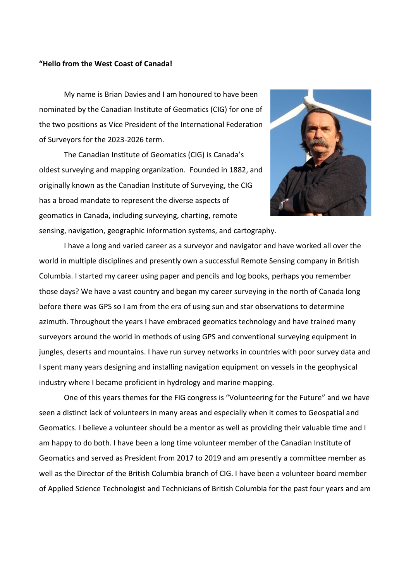## **"Hello from the West Coast of Canada!**

My name is Brian Davies and I am honoured to have been nominated by the Canadian Institute of Geomatics (CIG) for one of the two positions as Vice President of the International Federation of Surveyors for the 2023-2026 term.

The Canadian Institute of Geomatics (CIG) is Canada's oldest surveying and mapping organization. Founded in 1882, and originally known as the Canadian Institute of Surveying, the CIG has a broad mandate to represent the diverse aspects of geomatics in Canada, including surveying, charting, remote sensing, navigation, geographic information systems, and cartography.



I have a long and varied career as a surveyor and navigator and have worked all over the world in multiple disciplines and presently own a successful Remote Sensing company in British Columbia. I started my career using paper and pencils and log books, perhaps you remember those days? We have a vast country and began my career surveying in the north of Canada long before there was GPS so I am from the era of using sun and star observations to determine azimuth. Throughout the years I have embraced geomatics technology and have trained many surveyors around the world in methods of using GPS and conventional surveying equipment in jungles, deserts and mountains. I have run survey networks in countries with poor survey data and I spent many years designing and installing navigation equipment on vessels in the geophysical industry where I became proficient in hydrology and marine mapping.

One of this years themes for the FIG congress is "Volunteering for the Future" and we have seen a distinct lack of volunteers in many areas and especially when it comes to Geospatial and Geomatics. I believe a volunteer should be a mentor as well as providing their valuable time and I am happy to do both. I have been a long time volunteer member of the Canadian Institute of Geomatics and served as President from 2017 to 2019 and am presently a committee member as well as the Director of the British Columbia branch of CIG. I have been a volunteer board member of Applied Science Technologist and Technicians of British Columbia for the past four years and am